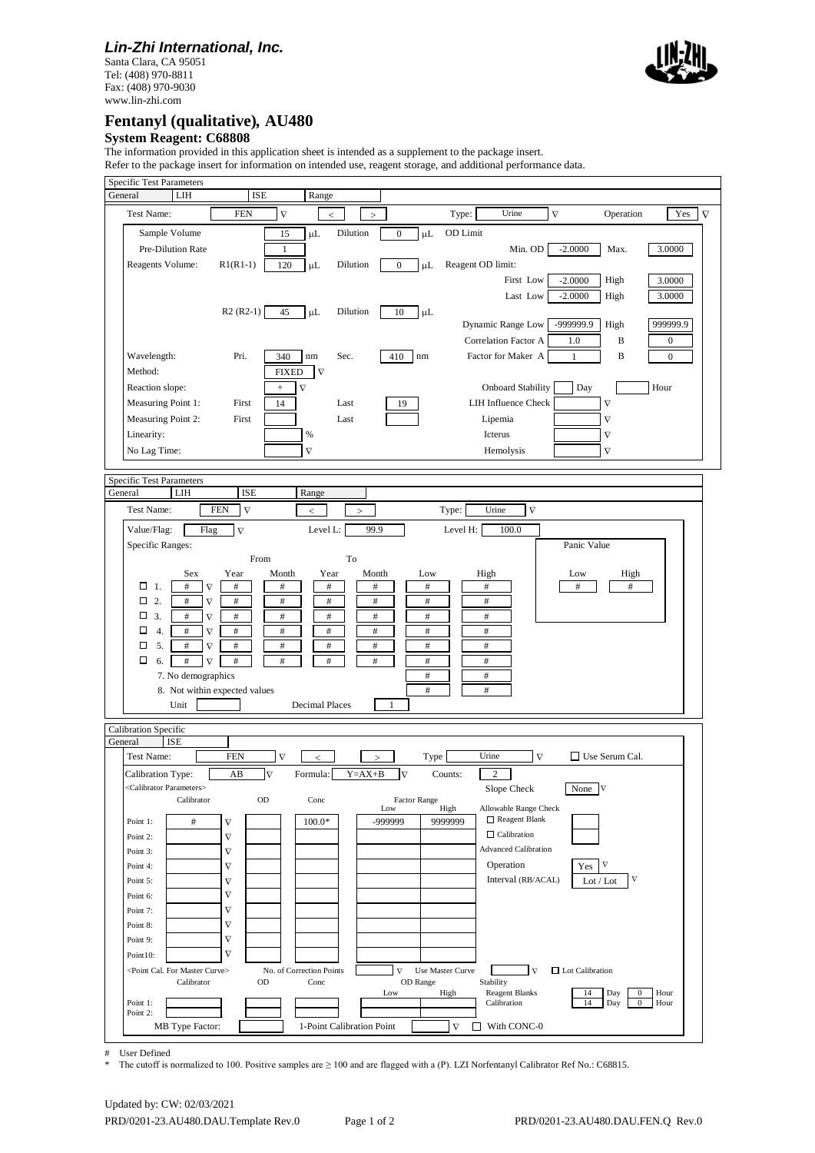## *Lin-Zhi International, Inc.*

Santa Clara, CA 95051 Tel: (408) 970-8811 Fax: (408) 970-9030 www.lin-zhi.com



## **Fentanyl (qualitative)***,* **AU480**

#### **System Reagent: C68808**

The information provided in this application sheet is intended as a supplement to the package insert.

Refer to the package insert for information on intended use, reagent storage, and additional performance data.

| <b>Specific Test Parameters</b>                                                                                                                                                           |          |
|-------------------------------------------------------------------------------------------------------------------------------------------------------------------------------------------|----------|
| LIH<br><b>ISE</b><br>General<br>Range                                                                                                                                                     |          |
| $\boldsymbol{\nabla}$<br>Test Name:<br><b>FEN</b><br>Urine<br>$\overline{\nabla}$<br>Yes<br>Type:<br>Operation<br>$\,<$<br>$\rm{>}$                                                       | $\nabla$ |
| Sample Volume<br>15<br>Dilution<br>$\boldsymbol{0}$<br>$\mu$ L<br>OD Limit<br>μL                                                                                                          |          |
| Pre-Dilution Rate<br>Min. OD<br>$-2.0000$<br>Max.<br>3.0000<br>1                                                                                                                          |          |
| Reagent OD limit:<br>Reagents Volume:<br>$R1(R1-1)$<br>120<br>Dilution<br>$\boldsymbol{0}$<br>μL<br>μL                                                                                    |          |
| First Low<br>$-2.0000$<br>High<br>3.0000                                                                                                                                                  |          |
| Last Low<br>$-2.0000$<br>3.0000<br>High                                                                                                                                                   |          |
| $R2 (R2-1)$<br>45<br>$\mu$ L<br>10<br>Dilution<br>$\mu$ L                                                                                                                                 |          |
| -999999.9<br>999999.9<br>Dynamic Range Low<br>High                                                                                                                                        |          |
| Correlation Factor A<br>B<br>1.0<br>$\boldsymbol{0}$                                                                                                                                      |          |
| Wavelength:<br>Factor for Maker A<br>B<br>Pri.<br>340<br>Sec.<br>410<br>$\rm{nm}$<br>$\boldsymbol{0}$<br>nm<br>1                                                                          |          |
| Method:<br><b>FIXED</b><br>$\nabla$                                                                                                                                                       |          |
| <b>Onboard Stability</b><br>Day<br>Reaction slope:<br>$\nabla$<br>Hour<br>$\! + \!\!\!\!$                                                                                                 |          |
| Measuring Point 1:<br><b>LIH Influence Check</b><br>$\nabla$<br>14<br>First<br>Last<br>19                                                                                                 |          |
| Measuring Point 2:<br>Lipemia<br>First<br>Last<br>$\boldsymbol{\nabla}$                                                                                                                   |          |
| Linearity:<br>$\%$<br>Icterus<br>$\boldsymbol{\nabla}$                                                                                                                                    |          |
| No Lag Time:<br>$\nabla$<br>$\nabla$<br>Hemolysis                                                                                                                                         |          |
|                                                                                                                                                                                           |          |
| <b>Specific Test Parameters</b>                                                                                                                                                           |          |
| General<br>LIH<br><b>ISE</b><br>Range                                                                                                                                                     |          |
| <b>FEN</b><br>$\nabla$<br>Urine<br>$\overline{\nabla}$<br>Test Name:<br>Type:<br>$\,<$<br>↘                                                                                               |          |
| 99.9<br>Value/Flag:<br>Flag<br>$\overline{\nabla}$<br>100.0<br>Level L:<br>Level H:                                                                                                       |          |
| Panic Value<br>Specific Ranges:                                                                                                                                                           |          |
| To<br>From                                                                                                                                                                                |          |
| Year<br>Sex<br>Year<br>Month<br>Month<br>Low<br>High<br>Low<br>High                                                                                                                       |          |
| $\Box$ 1.<br>$\#$<br>$\#$<br>$\#$<br>$\#$<br>$\#$<br>$\#$<br>$\#$<br>$\#$<br>#<br>$\nabla$                                                                                                |          |
| $\Box$ 2.<br>$\overline{\nabla}$<br>$\#$<br>$\#$<br>$\#$<br>$\#$<br>$\#$<br>$\#$<br>$\#$<br>□<br>3.<br>$\#$<br>$\overline{\nabla}$<br>$\#$<br>$\#$<br>$\#$<br>$\#$<br>$\#$<br>$\#$        |          |
| □<br>4.<br>$\nabla$<br>$\#$<br>$\#$<br>$\#$<br>$\#$<br>#<br>#<br>#                                                                                                                        |          |
| 5.<br>$\#$<br>$\#$<br>$\#$<br>$\#$<br>$\#$<br>$\nabla$<br>$\#$<br>$\#$<br>◻                                                                                                               |          |
| 6.<br>$\#$<br>$\#$<br>$\Box$<br>$\#$<br>$\nabla$<br>#<br>$\#$<br>$\#$<br>$\#$                                                                                                             |          |
| 7. No demographics<br>$\#$<br>$\#$                                                                                                                                                        |          |
| #<br>$\#$<br>8. Not within expected values                                                                                                                                                |          |
| Unit<br><b>Decimal Places</b><br>$\mathbf{1}$                                                                                                                                             |          |
|                                                                                                                                                                                           |          |
| Calibration Specific<br><b>ISE</b><br>General                                                                                                                                             |          |
| Urine<br>$\overline{\nabla}$<br>Test Name:<br><b>FEN</b><br>$\nabla$<br>$\Box$ Use Serum Cal.<br>Type<br>$\,<$                                                                            |          |
| $\overline{\nabla}$<br>$Y = AX + B$<br>Calibration Type:<br>AB<br>Formula:<br>$\overline{\nabla}$<br>Counts:<br>$\boldsymbol{2}$                                                          |          |
| <calibrator parameters=""><br/>Slope Check<br/>None '</calibrator>                                                                                                                        |          |
| OD<br><b>Factor Range</b><br>Calibrator<br>Conc                                                                                                                                           |          |
| Allowable Range Check<br>Low<br>High<br>Reagent Blank<br>-999999<br>$\#$<br>$100.0*$<br>9999999<br>Point 1:<br>$\boldsymbol{\nabla}$                                                      |          |
| $\Box$ Calibration<br>$\nabla$<br>Point 2:                                                                                                                                                |          |
| <b>Advanced Calibration</b><br>Point 3:<br>$\nabla$                                                                                                                                       |          |
| Operation<br>$\nabla$<br>Yes<br>Point 4:<br>$\nabla$                                                                                                                                      |          |
| $\nabla$<br>Interval (RB/ACAL)<br>Point 5:<br>$\nabla$<br>Lot / Lot                                                                                                                       |          |
| $\nabla$<br>Point 6:                                                                                                                                                                      |          |
| $\nabla$<br>Point 7:                                                                                                                                                                      |          |
| $\nabla$<br>Point 8:                                                                                                                                                                      |          |
| $\nabla$<br>Point 9:                                                                                                                                                                      |          |
| $\overline{\nabla}$<br>Point10:                                                                                                                                                           |          |
| <point cal.="" curve="" for="" master=""><br/>No. of Correction Points<br/><math>\nabla</math><br/>Use Master Curve<br/><math>\Box</math> Lot Calibration<br/><math>\nabla</math></point> |          |
| Stability<br>Calibrator<br>Conc<br>OD Range<br><b>OD</b><br><b>Reagent Blanks</b><br>Low<br>High<br>14<br>Day<br>$\bf{0}$<br>Hour                                                         |          |
| Calibration<br>14<br>$\bf{0}$<br>Point 1:<br>Day<br>Hour                                                                                                                                  |          |
| Point 2:<br>1-Point Calibration Point<br>П<br>With CONC-0<br>MB Type Factor:<br>$\nabla$                                                                                                  |          |
|                                                                                                                                                                                           |          |

# User Defined<br> $*$  The cutoff is a

\* The cutoff is normalized to 100. Positive samples are ≥ 100 and are flagged with a (P). LZI Norfentanyl Calibrator Ref No.: C68815.